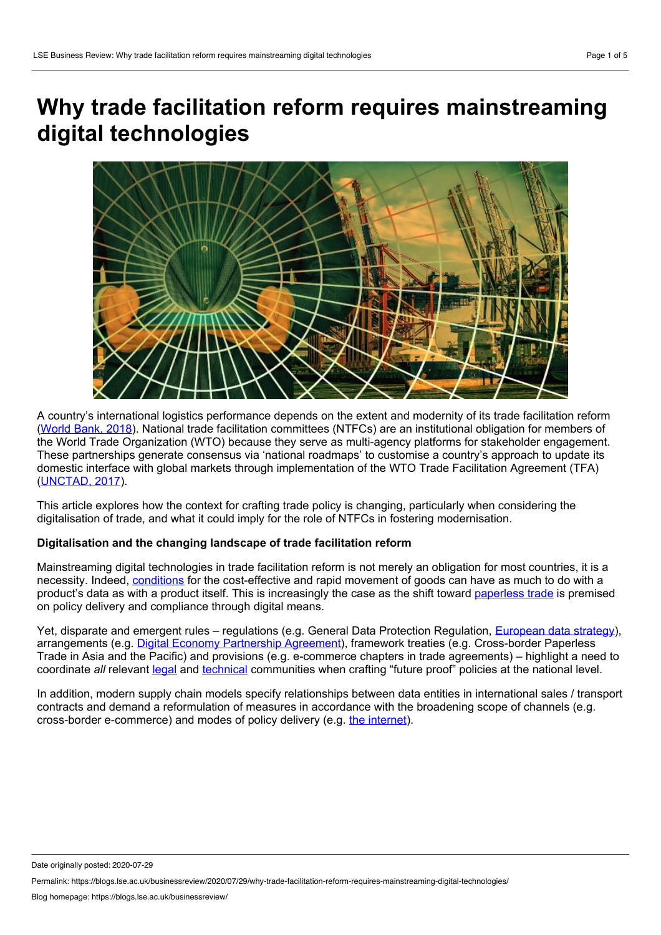# **Why trade facilitation reform requires mainstreaming digital technologies**



A country's international logistics performance depends on the extent and modernity of its trade facilitation reform ([World](https://openknowledge.worldbank.org/bitstream/handle/10986/29971/LPI2018.pdf) Bank, 2018). National trade facilitation committees (NTFCs) are an institutional obligation for members of the World Trade Organization (WTO) because they serve as multi-agency platforms for stakeholder engagement. These partnerships generate consensus via 'national roadmaps' to customise a country's approach to update its domestic interface with global markets through implementation of the WTO Trade Facilitation Agreement (TFA) ([UNCTAD,](https://unctad.org/en/PublicationsLibrary/dtltlb2017d3_en.pdf) 2017).

This article explores how the context for crafting trade policy is changing, particularly when considering the digitalisation of trade, and what it could imply for the role of NTFCs in fostering modernisation.

# **Digitalisation and the changing landscape of trade facilitation reform**

Mainstreaming digital technologies in trade facilitation reform is not merely an obligation for most countries, it is a necessity. Indeed, [conditions](https://www.wto.org/english/res_e/publications_e/wtr18_e.htm) for the cost-effective and rapid movement of goods can have as much to do with a product's data as with a product itself. This is increasingly the case as the shift toward [paperless](http://www3.weforum.org/docs/WEF_36073_Paperless_Trading_How_Does_It_Impact_the_Trade_System.pdf) trade is premised on policy delivery and compliance through digital means.

Yet, disparate and emergent rules – regulations (e.g. General Data Protection Regulation, [European](https://ec.europa.eu/info/strategy/priorities-2019-2024/europe-fit-digital-age/european-data-strategy) data strategy), arrangements (e.g. Digital Economy [Partnership](http://asiantradecentre.org/talkingtrade/unpacking-the-digital-economy-partnership-agreement-depa) Agreement), framework treaties (e.g. Cross-border Paperless Trade in Asia and the Pacific) and provisions (e.g. e-commerce chapters in trade agreements) – highlight a need to coordinate *all* relevant [legal](https://www.internetjurisdiction.net/uploads/pdfs/Internet-Jurisdiction-Global-Status-Report-2019-Key-Findings_web.pdf) and [technical](https://www.ietf.org/) communities when crafting "future proof" policies at the national level.

In addition, modern supply chain models specify relationships between data entities in international sales / transport contracts and demand a reformulation of measures in accordance with the broadening scope of channels (e.g. cross-border e-commerce) and modes of policy delivery (e.g. the [internet](https://web.stanford.edu/class/msande91si/www-spr04/readings/week1/InternetWhitepaper.htm)).

Date originally posted: 2020-07-29

Permalink: https://blogs.lse.ac.uk/businessreview/2020/07/29/why-trade-facilitation-reform-requires-mainstreaming-digital-technologies/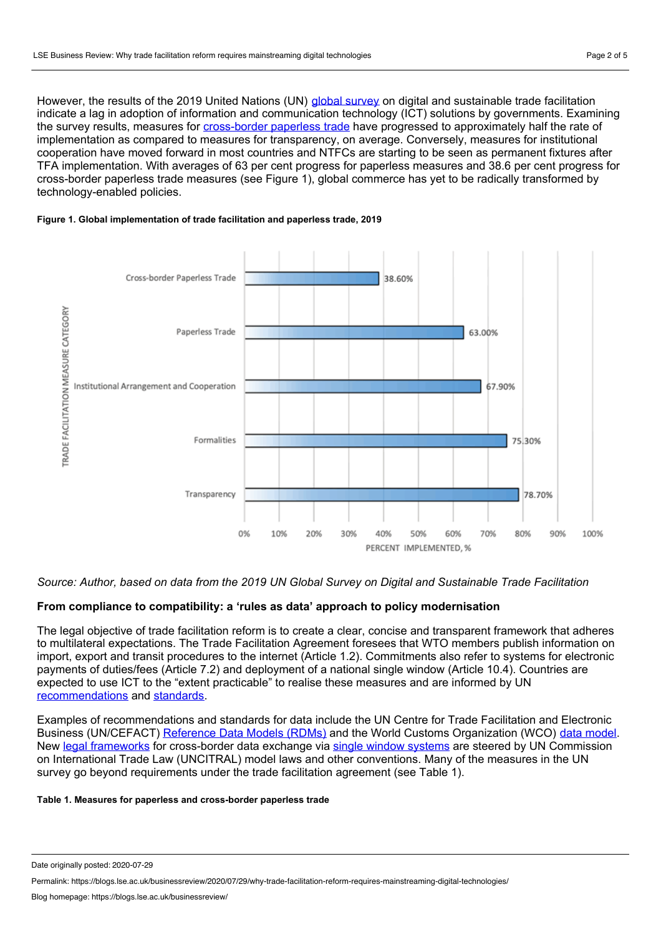However, the results of the 2019 United Nations (UN) global [survey](https://untfsurvey.org/) on digital and sustainable trade facilitation indicate a lag in adoption of information and communication technology (ICT) solutions by governments. Examining the survey results, measures for [cross-border](https://untfsurvey.org/about) paperless trade have progressed to approximately half the rate of implementation as compared to measures for transparency, on average. Conversely, measures for institutional cooperation have moved forward in most countries and NTFCs are starting to be seen as permanent fixtures after TFA implementation. With averages of 63 per cent progress for paperless measures and 38.6 per cent progress for cross-border paperless trade measures (see Figure 1), global commerce has yet to be radically transformed by technology-enabled policies.

#### **Figure 1. Global implementation of trade facilitation and paperless trade, 2019**



#### Source: Author, based on data from the 2019 UN Global Survey on Digital and Sustainable Trade Facilitation

### **From compliance to compatibility: a 'rules as data' approach to policy modernisation**

The legal objective of trade facilitation reform is to create a clear, concise and transparent framework that adheres to multilateral expectations. The Trade Facilitation Agreement foresees that WTO members publish information on import, export and transit procedures to the internet (Article 1.2). Commitments also refer to systems for electronic payments of duties/fees (Article 7.2) and deployment of a national single window (Article 10.4). Countries are expected to use ICT to the "extent practicable" to realise these measures and are informed by UN [recommendations](https://www.unece.org/cefact/recommendations/rec_index.html) and [standards.](http://tfig.unece.org/contents/recommendations-and-standards.htm)

Examples of recommendations and standards for data include the UN Centre for Trade Facilitation and Electronic Business (UN/CEFACT) [Reference](http://tfig.unece.org/contents/uncefact-rdm.htm) Data Models (RDMs) and the World Customs Organization (WCO) data [model](http://www.wcoomd.org/DataModel). New legal [frameworks](http://tfig.unece.org/contents/recommendation-35.htm) for cross-border data exchange via single window [systems](http://tfig.unece.org/contents/single-window-implementation.htm) are steered by UN Commission on International Trade Law (UNCITRAL) model laws and other conventions. Many of the measures in the UN survey go beyond requirements under the trade facilitation agreement (see Table 1).

#### **Table 1. Measures for paperless and cross-border paperless trade**

Date originally posted: 2020-07-29

Permalink: https://blogs.lse.ac.uk/businessreview/2020/07/29/why-trade-facilitation-reform-requires-mainstreaming-digital-technologies/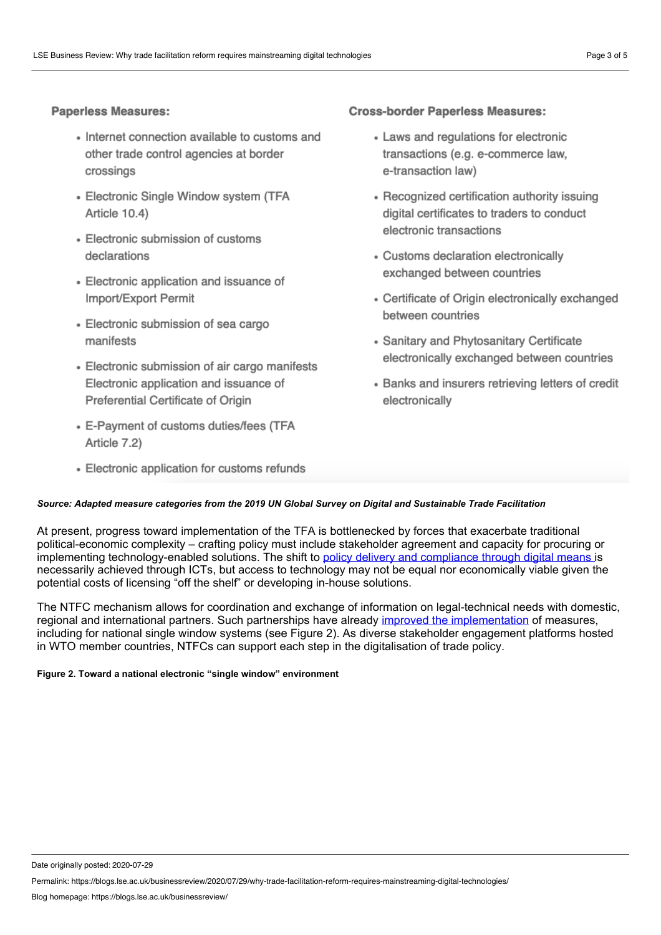# **Paperless Measures:**

- Internet connection available to customs and other trade control agencies at border crossings
- Electronic Single Window system (TFA Article 10.4)
- Electronic submission of customs declarations
- Electronic application and issuance of Import/Export Permit
- Electronic submission of sea cargo manifests
- Electronic submission of air cargo manifests Electronic application and issuance of Preferential Certificate of Origin
- E-Payment of customs duties/fees (TFA Article 7.2)
- Electronic application for customs refunds

# **Cross-border Paperless Measures:**

- Laws and regulations for electronic transactions (e.g. e-commerce law, e-transaction law)
- Recognized certification authority issuing digital certificates to traders to conduct electronic transactions
- Customs declaration electronically exchanged between countries
- Certificate of Origin electronically exchanged between countries
- Sanitary and Phytosanitary Certificate electronically exchanged between countries
- Banks and insurers retrieving letters of credit electronically

### *Source: Adapted measure categories from the 2019 UN Global Survey on Digital and Sustainable Trade Facilitation*

At present, progress toward implementation of the TFA is bottlenecked by forces that exacerbate traditional political-economic complexity – crafting policy must include stakeholder agreement and capacity for procuring or implementing technology-enabled solutions. The shift to policy delivery and [compliance](http://tfig.unece.org/contents/itinerary-04-start.html) through digital means is necessarily achieved through ICTs, but access to technology may not be equal nor economically viable given the potential costs of licensing "off the shelf" or developing in-house solutions.

The NTFC mechanism allows for coordination and exchange of information on legal-technical needs with domestic, regional and international partners. Such partnerships have already improved the [implementation](https://unctad.org/en/PublicationsLibrary/dtltlb2020d1_en.pdf) of measures, including for national single window systems (see Figure 2). As diverse stakeholder engagement platforms hosted in WTO member countries, NTFCs can support each step in the digitalisation of trade policy.

#### **Figure 2. Toward a national electronic "single window" environment**

Date originally posted: 2020-07-29

Permalink: https://blogs.lse.ac.uk/businessreview/2020/07/29/why-trade-facilitation-reform-requires-mainstreaming-digital-technologies/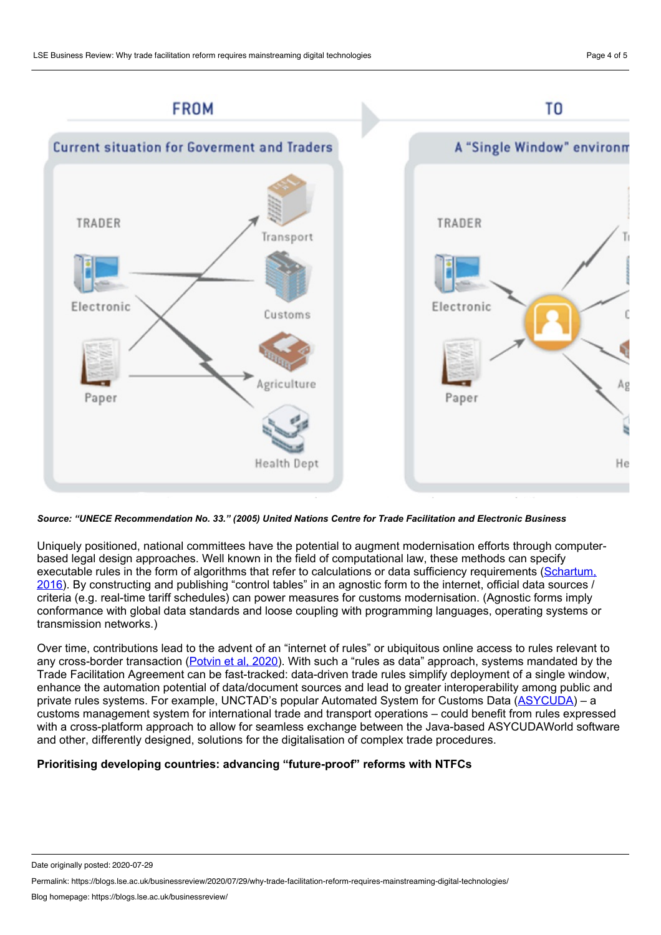

*Source: "UNECE Recommendation No. 33." (2005) United Nations Centre for Trade Facilitation and Electronic Business*

Uniquely positioned, national committees have the potential to augment modernisation efforts through computer based legal design approaches. Well known in the field of computational law, these methods can specify executable rules in the form of algorithms that refer to calculations or data sufficiency [requirements](https://www.scl.org/articles/3716-from-algorithmic-law-to-automation-friendly-legislation) (Schartum, 2016). By constructing and publishing "control tables" in an agnostic form to the internet, official data sources / criteria (e.g. real-time tariff schedules) can power measures for customs modernisation. (Agnostic forms imply conformance with global data standards and loose coupling with programming languages, operating systems or transmission networks.)

Over time, contributions lead to the advent of an "internet of rules" or ubiquitous online access to rules relevant to any cross-border transaction [\(Potvin](https://www.xalgorithms.org/images/Xalgorithms_Lightpaper_2020-02-03_v1.03.pdf) et al, 2020). With such a "rules as data" approach, systems mandated by the Trade Facilitation Agreement can be fast-tracked: data-driven trade rules simplify deployment of a single window, enhance the automation potential of data/document sources and lead to greater interoperability among public and private rules systems. For example, UNCTAD's popular Automated System for Customs Data [\(ASYCUDA](https://asycuda.org/)) – a customs management system for international trade and transport operations – could benefit from rules expressed with a cross-platform approach to allow for seamless exchange between the Java-based ASYCUDAWorld software and other, differently designed, solutions for the digitalisation of complex trade procedures.

# **Prioritising developing countries: advancing "future-proof" reforms with NTFCs**

Permalink: https://blogs.lse.ac.uk/businessreview/2020/07/29/why-trade-facilitation-reform-requires-mainstreaming-digital-technologies/

Date originally posted: 2020-07-29